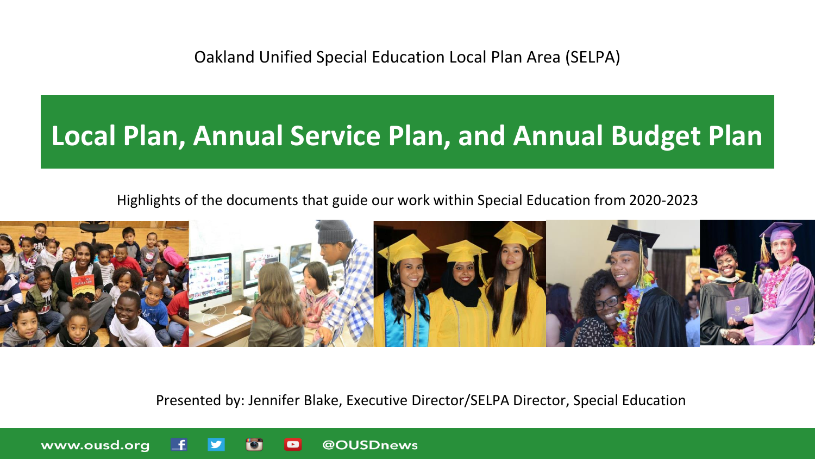Oakland Unified Special Education Local Plan Area (SELPA)

### **Local Plan, Annual Service Plan, and Annual Budget Plan**

#### Highlights of the documents that guide our work within Special Education from 2020-2023



Presented by: Jennifer Blake, Executive Director/SELPA Director, Special Education

@OUSDnews

www.ousd.org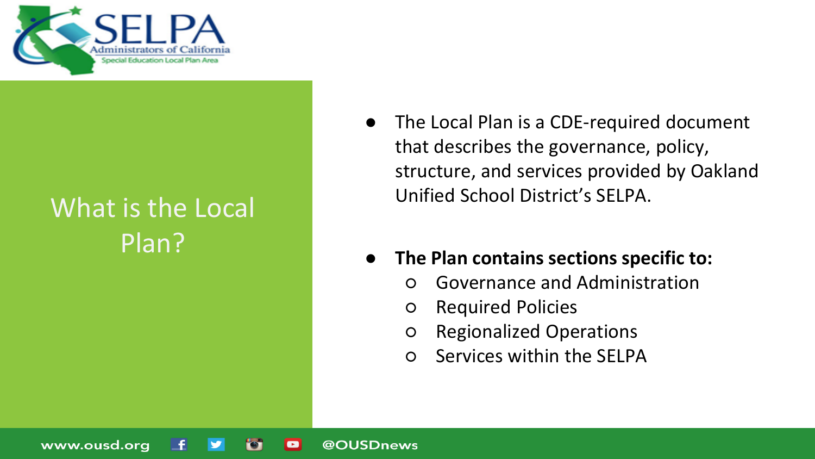

### What is the Local Plan?

www.ousd.org

- The Local Plan is a CDE-required document that describes the governance, policy, structure, and services provided by Oakland Unified School District's SELPA.
- **The Plan contains sections specific to:** 
	- Governance and Administration
	- Required Policies

@OUSDnews

 $\blacksquare$ 

- Regionalized Operations
- Services within the SELPA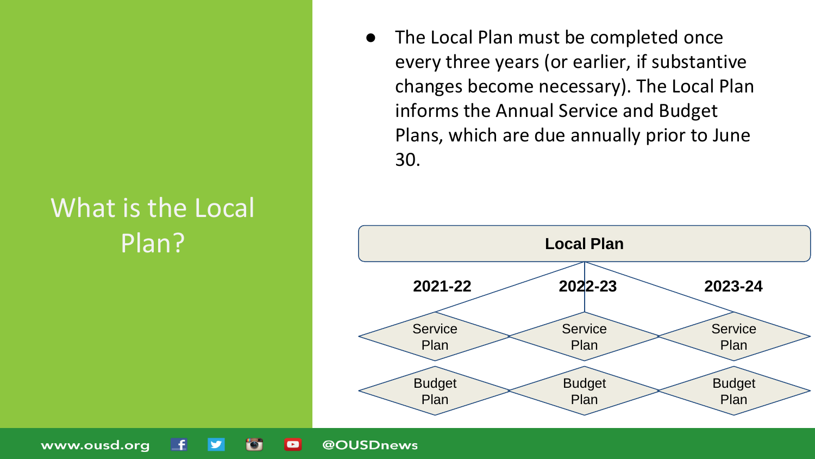# What is the Local

The Local Plan must be completed once every three years (or earlier, if substantive changes become necessary). The Local Plan informs the Annual Service and Budget Plans, which are due annually prior to June 30.



www.ousd.org

 $\blacksquare$ 

@OUSDnews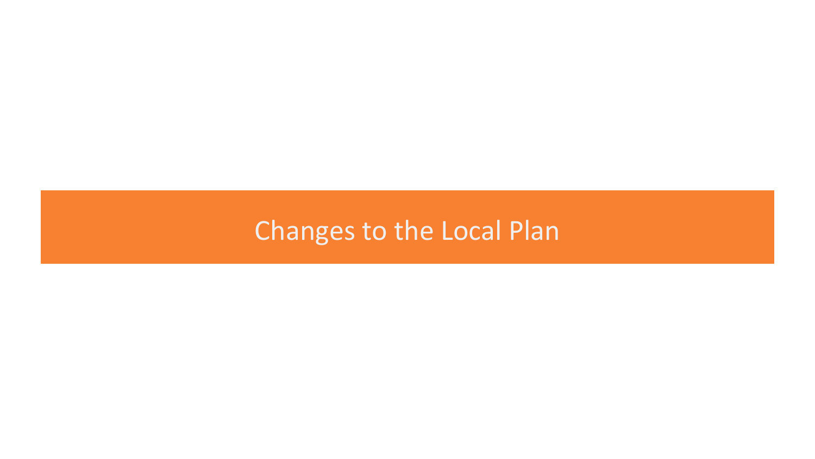### Changes to the Local Plan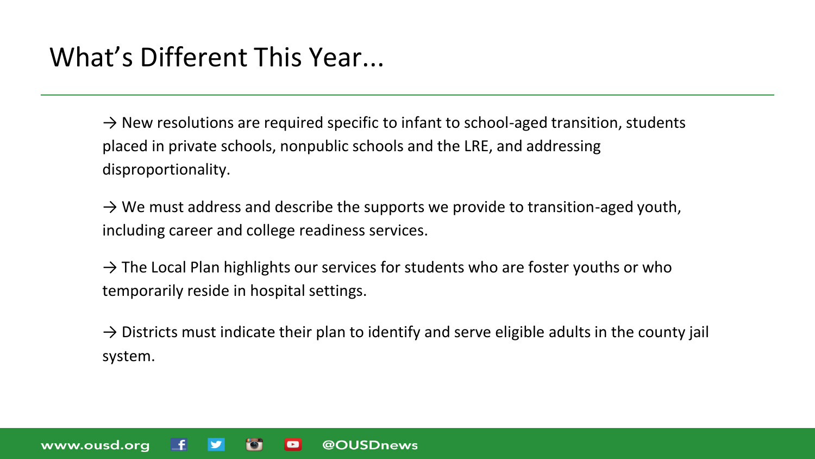### What's Different This Year...

www.ousd.org

 $\rightarrow$  New resolutions are required specific to infant to school-aged transition, students placed in private schools, nonpublic schools and the LRE, and addressing disproportionality.

 $\rightarrow$  We must address and describe the supports we provide to transition-aged youth, including career and college readiness services.

 $\rightarrow$  The Local Plan highlights our services for students who are foster youths or who temporarily reside in hospital settings.

@OUSDnews

 $\blacksquare$ 

 $\rightarrow$  Districts must indicate their plan to identify and serve eligible adults in the county jail system.